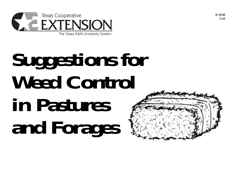

# **Suggestions for Weed Control in Pastures and Forages**

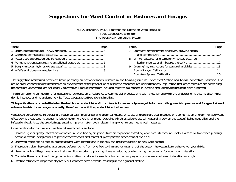# **Suggestions for Weed Control in Pastures and Forages**

Paul A. Baumann, Ph.D., Professor and Extension Weed Specialist Texas Cooperative Extension The Texas A&M University System

| <b>Table</b>                                            | Page | <b>Table</b>                                          | Page |
|---------------------------------------------------------|------|-------------------------------------------------------|------|
|                                                         |      | 7 Dormant, semidormant or actively growing alfalfa    |      |
|                                                         |      |                                                       |      |
|                                                         |      | 8 Winter pastures for grazing only (wheat, oats, rye, |      |
| 4 Permanent grass pastures and established grass crop 5 |      |                                                       |      |
|                                                         |      | 9 Grazing/hay restrictions for pasture herbicides13   |      |
|                                                         |      |                                                       |      |
|                                                         |      |                                                       |      |

The suggestions contained herein are based primarily on herbicide labels, research by the Texas Agricultural Experiment Station and Texas Cooperative Extension. The use of product names is not intended as an endorsement of the product or of a specific manufacturer, nor is there any implication that other formulations containing the same active chemical are not equally as effective. Product names are included solely to aid readers in locating and identifying the herbicides suggested.

The information given herein is for educational purposes only. Reference to commercial products or trade names is made with the understanding that no discrimination is intended and no endorsement by Texas Cooperative Extension is implied.

#### **This publication is no substitute for the herbicide product labels! It is intended to serve only as a guide for controlling weeds in pasture and forages. Labeled rates and restrictions change constantly, therefore, consult the product label before use.**

Weeds can be controlled in cropland through cultural, mechanical and chemical means. Wise use of these individual methods or a combination of them manage weeds effectively without causing economic loss or harming the environment. Deciding which practice to use will depend largely on the weed(s) being controlled and the infestation level. Also, the crop being planted will play a major role in determining when to use mechanical measures.

Considerations for cultural and mechanical weed control include:

- 1. Remove light or spotty infestations of weeds by hand hoeing or spot cultivation to prevent spreading weed seed, rhizomes or roots. Exercise caution when plowing perennial weeds, being careful to prevent the transport and spread of plant parts to other areas of the field.
- 2. Use weed-free planting seed to protect against weed infestations in the row and the introduction of new weed species.
- 3. Thoroughly clean harvesting equipment before moving from one field to the next, or require it of the custom harvesters before they enter your fields.
- 4. Use mechanical tillage to remove initial weed flushes prior to planting, thereby reducing or eliminating the potential for continued infestation.
- 5. Consider the economics of using mechanical cultivation alone for weed control in the crop, especially where annual weed infestations are light.
- 6. Practice rotation to crops that physically out-compete certain weeds, resulting in their gradual decline.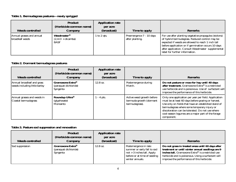## **Table 1. Bermudagrass pastures—newly sprigged**

| <b>Weeds controlled</b>                             | <b>Product</b><br>(Herbicide common name)<br>Company          | <b>Application rate</b><br>per acre<br>(broadcast) | Time to apply                               | <b>Remarks</b>                                                                                                                                                                                                                                                                                                |
|-----------------------------------------------------|---------------------------------------------------------------|----------------------------------------------------|---------------------------------------------|---------------------------------------------------------------------------------------------------------------------------------------------------------------------------------------------------------------------------------------------------------------------------------------------------------------|
| Annual grasses and annual<br><b>broadleaf</b> weeds | Weedmaster <sup>®</sup><br>$(2,4-D + dicamba)$<br><b>BASF</b> | 1 to 2 qts.                                        | Preemergence 7 - 10 days<br>after planting. | For use after planting vegetative propagules (stolons)<br>of hybrid bermudagrass. Reduced control may be<br>expected if weeds are allowed to reach 1 inch tall<br>before application or if germination occurs 10 days<br>after application. Consult Weedmaster supplemental<br>label for further information. |

## **Table 2. Dormant bermudagrass pastures**

| <b>Weeds controlled</b>                                     | <b>Product</b><br>(Herbicide common name)<br><b>Company</b>       | <b>Application rate</b><br>per acre<br>(broadcast) | Time to apply                                                          | <b>Remarks</b>                                                                                                                                                                                                                                                                                                                             |
|-------------------------------------------------------------|-------------------------------------------------------------------|----------------------------------------------------|------------------------------------------------------------------------|--------------------------------------------------------------------------------------------------------------------------------------------------------------------------------------------------------------------------------------------------------------------------------------------------------------------------------------------|
| Annual broadleaf and grass<br>weeds including little barley | Gramoxone Extra <sup>®</sup><br>(paraquat dichloride)<br>Syngenta | $12.8 \text{ oz.}$                                 | Postemergence during<br>March.                                         | Do not pasture or mow for hay until 40 days<br>after treatment. Gramoxone Extra® is a restricted<br>use herbicide and is poisonous. Use of surfactant will<br>improve the performance of this herbicide.                                                                                                                                   |
| Annual grasses and weeds in<br>Coastal bermudagrass         | Roundup Ultra <sup>®</sup><br>(glyphosate)<br>Monsanto            | $1 - 4$ pts.                                       | Active weed growth before<br>bermuda growth (dormant<br>bermudagrass). | Only one application per year per field. Application<br>must be at least 60 days before grazing or harvest.<br>Use only on fields that have an established stand of<br>bermudagrass where some temporary injury or<br>discoloration can be tolerated. Do not use where<br>cool-season legumes are a major part of the forage<br>component. |

## **Table 3. Pasture sod suppression and renovation**

| <b>Weeds controlled</b> | <b>Product</b><br>(Herbicide common name)<br>Company              | <b>Application rate</b><br>per acre<br>(broadcast) | Time to apply                                                                                                                           | <b>Remarks</b>                                                                                                                                                                                                                                                  |
|-------------------------|-------------------------------------------------------------------|----------------------------------------------------|-----------------------------------------------------------------------------------------------------------------------------------------|-----------------------------------------------------------------------------------------------------------------------------------------------------------------------------------------------------------------------------------------------------------------|
| Sod suppression         | Gramoxone Extra <sup>®</sup><br>(paraquat dichloride)<br>Syngenta | $12.8 \text{ oz.}$                                 | Postemergence in late<br>summer or early fall to sod<br>$not > 3$ inches tall. Apply<br>before or at time of seeding<br>winter annuals. | Do not graze in treated areas until 60 days after<br>treatment or until winter annual seedlings are 9<br>inches tall. Gramoxone Extra® is a restricted use<br>herbicide and is poisonous. Using a surfactant will<br>improve the performance of this herbicide. |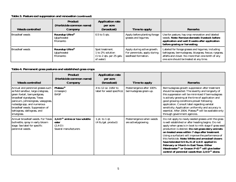## **Table 3. Pasture sod suppression and renovation (continued)**

| <b>Weeds controlled</b> | <b>Product</b><br>(Herbicide common name)<br>Company   | <b>Application rate</b><br>per acre<br>(broadcast)                              | Time to apply                                                                      | <b>Remarks</b>                                                                                                                                                                                              |
|-------------------------|--------------------------------------------------------|---------------------------------------------------------------------------------|------------------------------------------------------------------------------------|-------------------------------------------------------------------------------------------------------------------------------------------------------------------------------------------------------------|
| <b>Broadleaf</b> weeds  | Roundup Ultra®<br>(glyphosate)<br>Monsanto             | $\vert$ 0.5 to 5 qts.                                                           | Apply before planting forage<br>grasses and legumes.                               | Use for pasture, hay crop renovation and labeled<br>weeds. Note: Remove domestic livestock before<br>application and wait 8 weeks after application<br>before grazing or harvesting.                        |
| <b>Broadleaf</b> weeds  | Roundup Ultra <sup>®</sup><br>(glyphosate)<br>Monsanto | Spot treatment.<br>1 to 2% solution<br>$(1 to 2 qts.$ per 25 gals.<br>of water) | Apply during active growth.<br>For perennials, apply during<br>seedhead formation. | Labeled for forage grasses and legumes, including<br>bahiagrass, bermudagrass, bluegrass, fescue, ryegrass,<br>alfalfa and clover. No more than one-tenth of any<br>one acre should be treated at any time. |

## **Table 4. Permanent grass pastures and established grass crops**

| <b>Weeds controlled</b>                                                                                                                                                                                                                                                                       | <b>Product</b><br>(Herbicide common name)<br>Company                                      | <b>Application rate</b><br>per acre<br>(broadcast)         | Time to apply                                      | <b>Remarks</b>                                                                                                                                                                                                                                                                                                                                                                                                                                                                                                                                                                                                         |
|-----------------------------------------------------------------------------------------------------------------------------------------------------------------------------------------------------------------------------------------------------------------------------------------------|-------------------------------------------------------------------------------------------|------------------------------------------------------------|----------------------------------------------------|------------------------------------------------------------------------------------------------------------------------------------------------------------------------------------------------------------------------------------------------------------------------------------------------------------------------------------------------------------------------------------------------------------------------------------------------------------------------------------------------------------------------------------------------------------------------------------------------------------------------|
| Annual and perennial grasses such<br>as field sandbur, large crabgrass,<br>green foxtail, barnyardgrass,<br>broadleaf signalgrass, Texas<br>panicum, johnsongrass, vaseygrass,<br>nutsedge spp, and numerous<br>broadleaf weeds. Suppression of<br>bahiagrass, dallisgrass, and<br>smutgrass. | <b>Plateau®</b><br>(imazapic)<br><b>BASF</b>                                              | 4 to 12 oz. (refer to<br>label for weed specifics)         | Postemergence after 100%<br>bermudagrass green-up. | Bermudagrass growth suppression after treatment<br>should be expected. The severity and longevity of<br>this suppression will be minimized if bermudagrass<br>is actively growing at the time of application and<br>good growing conditions prevail following<br>application. Consult label regarding varietal<br>sensitivity. Application uniformity and accuracy is<br>essential. After 2004, Plateau® will be available only<br>through government agencies.                                                                                                                                                        |
| Annual broadleaf weeds. For Texas<br>bullnettle, spray in early bloom<br>stage. See label for specific<br>perennial weeds.                                                                                                                                                                    | 2,4- $D^{\circledR}$ amine or low volatile<br>ester<br>$(2,4-D)$<br>Several manufacturers | 1 pt. to $1$ qt.<br>$(4 \text{ lb./gal.} \text{ product})$ | Postemergence when weeds<br>are activelygrowing.   | Do not apply to newly seeded grasses until the grass<br>is well established or after heading begins. Do not<br>apply when grass is in boot to milk stage if grass seed<br>production is desired. Do not graze dairy animals<br>on treated areas within 7 days after treatment.<br>Using a surfactant will improve the performance of<br>this herbicide. Note: White and arrowleaf clovers<br>have tolerated 0.5 lb./A of 2,4-D applied in<br>February or March in East Texas. Either<br>Weedmaster <sup>®</sup> or Grazon $P+D^®$ will give better<br>control of perennial weeds than $2,4-\bar{D}^{\circledR}$ alone. |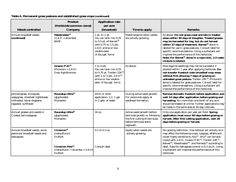| <b>Weeds controlled</b>                                                                                         | <b>Product</b><br>(Herbicide common name)<br><b>Company</b>                                                      | <b>Application rate</b><br>per acre<br>(broadcast)                                                                                                                                               | Time to apply                                                                                                                  | <b>Remarks</b>                                                                                                                                                                                                                                                                                                                                                                                                                                                       |
|-----------------------------------------------------------------------------------------------------------------|------------------------------------------------------------------------------------------------------------------|--------------------------------------------------------------------------------------------------------------------------------------------------------------------------------------------------|--------------------------------------------------------------------------------------------------------------------------------|----------------------------------------------------------------------------------------------------------------------------------------------------------------------------------------------------------------------------------------------------------------------------------------------------------------------------------------------------------------------------------------------------------------------------------------------------------------------|
| Annual broadleaf weeds.<br>(continued)                                                                          | Weedmaster <sup>®</sup><br>$(2,4-D + dicamba)$<br><b>BASF</b>                                                    | $1$ pt. to $1$ qt.<br>You can tank mix 0.25<br>to 0.5 pt. of Banvel®<br>with 0.75 to 1.5 pts.<br>2,4-D amine or $\overline{\text{low}}$<br>volatile ester<br>$(4 \text{ lbs.}/\text{gal. form})$ | Postemergence when weeds<br>are actively growing.                                                                              | As above. Do not graze meat animals in treated<br>areas within 30 days of slaughter. Treated grasses<br>may be harvested for hay, but do not harvest<br>within 37 days of treatment. Banvel <sup>®</sup> alone is<br>labeled for use in grass pastures. Consult label for<br>specific recommendations. Using a surfactant will<br>improve the performance of this herbicide.<br>Note: For Banvel <sup>®</sup> alone in a rope wick, 1:3 water<br>mixture is labeled. |
|                                                                                                                 | Grazon $P+D^{\circledR}$<br>$(Picloram + 2,4-D)$<br>Dow AgroSciences                                             | 1 to 4 pts<br>You can tank mix 0.25<br>to 0.75 pt. Tordon 22K®<br>with 1 to 3 pts. 2,4- $D^{\circledR}$<br>amine or low volatile<br>ester (4 lbs./gal. form)                                     | As above.                                                                                                                      | New legume seedlings may not be successful if<br>planted within 1 year after applying herbicide. Do<br>not transfer livestock onto broadleaf crop areas<br>without first allowing 7 days of grazing on<br>untreated grass pasture. Tordon 22K <sup>®</sup> (Picloram)<br>alone is labeled for grass pastures. Consult label for<br>specific recommendations. Using a surfactant will<br>improve the performance of this herbicide.                                   |
| Johnsongrass, smutgrass,<br>vaseygrass, silverleaf nightshade,<br>milkweed, hemp dogbane,<br>ragweed, sunflower | Roundup Ultra <sup>®</sup><br>(glyphosate)<br>Monsanto                                                           | Wick or other<br>applicators. 1:2, 1 gal.<br>in 2 gals. of water                                                                                                                                 | During active weed growth.<br>For perennials apply at<br>seedhead formation.                                                   | Remove domestic livestock before application and<br>wait 14 days after application before grazing and<br>harvesting. No more than one-tenth of any acre<br>should be treated at a time. Further applications may<br>be made in the same area at 30-day intervals.                                                                                                                                                                                                    |
| Annual grasses and weeds in<br>Coastal bermudagrass                                                             | Roundup Ultra®<br>(glyphosate)<br>Monsanto                                                                       | 16 oz.                                                                                                                                                                                           | Active weed growth before<br>bermuda growth or following<br>the first cutting of bermuda<br>before bermuda starts<br>regrowth. | Only one application per year per field. Spring<br>application must occur 60 days before grazing or<br>harvest. After first cutting application, wait 28<br>days before grazing or harvest.                                                                                                                                                                                                                                                                          |
| Annual broadleaf weeds, some<br>perennial broadleaf weeds and<br>bahiagrass                                     | Cimarron®<br>(metsulfuron)<br>DuPont<br>Cimarron Max <sup>®</sup><br>$(metsulfuron + dicamba + 2,4-D)$<br>DuPont | $0.1$ to $0.3$ oz.<br>Consult label.                                                                                                                                                             | Apply when weeds are<br>actively growing.                                                                                      | No grazing restriction. Has residual soil activity so it<br>may affect the following crops: ryegrass, alfalfa and<br>clover highly sensitive to Ally®. Ally® can be tank-<br>mixed with 2,4-D, Grazon $\check{P}$ +D®, Tordon 22K®,<br>Banvel <sup>®</sup> , Weedmaster <sup>®</sup> , and Remedy <sup>®</sup> according to<br>label. Rate for bahiagrass control is 0.3 oz./A. Using<br>a surfactant will improve the performance of this<br>herbicide.             |

## **Table 4. Permanent grass pastures and established grass crops (continued)**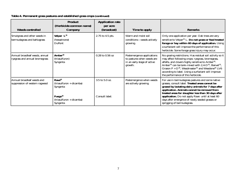| <b>Weeds controlled</b>                                          | <b>Product</b><br>(Herbicide common name)<br>Company                                                        | <b>Application rate</b><br>per acre<br>(broadcast) | Time to apply                                                                                      | <b>Remarks</b>                                                                                                                                                                                                                                                                                                                                                                                                                    |
|------------------------------------------------------------------|-------------------------------------------------------------------------------------------------------------|----------------------------------------------------|----------------------------------------------------------------------------------------------------|-----------------------------------------------------------------------------------------------------------------------------------------------------------------------------------------------------------------------------------------------------------------------------------------------------------------------------------------------------------------------------------------------------------------------------------|
| Smutgrass and other weeds in<br>bermudagrass and bahiagrass      | Velpar L®<br>(hexazinone)<br>DuPont                                                                         | 2.75 to 4.5 pts.                                   | Warm and moist soil<br>conditions-weeds actively<br>growing.                                       | Only one application per year. Oak trees are very<br>sensitive to Velpar <sup>®</sup> L. Do not graze or feed treated<br>forage or hay within 60 days of application. Using<br>a surfactant will improve the performance of this<br>herbicide. Some forage grass injury may occur.                                                                                                                                                |
| Annual broadleaf weeds, annual<br>ryegrass and annual bromegrass | Amber <sup>®</sup><br>(triasulfuron)<br>Syngenta                                                            | 0.28 to 0.56 oz                                    | Postemergence applications<br>to pastures when weeds are<br>in an early stage of active<br>growth. | No grazing restrictions. Has residual soil activity so it<br>may affect following crops: ryegrass, bromegrass,<br>alfalfa, and clovers highly sensitive to Amber <sup>®</sup> .<br>Amber <sup>®</sup> can be tank-mixed with 2,4-D <sup>®</sup> , Banvel <sup>®</sup> ,<br>Grazon P + $D^{\circledR}$ , Weedmaster® and Weedone® LV6<br>according to label. Using a surfactant will improve<br>the performance of this herbicide. |
| Annual broadleaf weeds and<br>suppression of western ragweed     | Rave®<br>(triasulfuron + dicamba)<br>Syngenta<br>Fuego <sup>®</sup><br>(triasulfuron + dicamba)<br>Syngenta | 3.5 to 5.0 oz.<br>Consult label.                   | Postemergence when weeds<br>are actively growing.                                                  | For use in bermudagrass pastures and some native<br>grasses, consult label. Treated areas cannot be<br>grazed by lactating dairy animals for 7 days after<br>application. Animals cannot be removed from<br>treated areas for slaughter less than 30 days after<br>application. Do not apply Rave until at least 60<br>days after emergence of newly seeded grasses or<br>sprigging of bermudagrass.                              |

## **Table 4. Permanent grass pastures and established grass crops (continued)**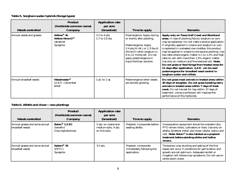## **Table 5. Sorghum-sudan hybrids (forage types)**

| <b>Weeds controlled</b>  | <b>Product</b><br>(Herbicide common name)<br>Company                      | <b>Application rate</b><br>per acre<br>(broadcast) | Time to apply                                                                                                                                                                                                                                                     | <b>Remarks</b>                                                                                                                                                                                                                                                                                                                                                                                                                                                                                                                                                                                                                                                                       |
|--------------------------|---------------------------------------------------------------------------|----------------------------------------------------|-------------------------------------------------------------------------------------------------------------------------------------------------------------------------------------------------------------------------------------------------------------------|--------------------------------------------------------------------------------------------------------------------------------------------------------------------------------------------------------------------------------------------------------------------------------------------------------------------------------------------------------------------------------------------------------------------------------------------------------------------------------------------------------------------------------------------------------------------------------------------------------------------------------------------------------------------------------------|
| Annual weeds and grasses | AAtrex <sup>®</sup> 4L<br><b>AAtrex Nine-O®</b><br>(atrazine)<br>Syngenta | 3.2 to 4 pts.<br>1.7 to 2.6 lbs.                   | Preemergence: Apply during<br>or shortly after planting.<br>Postemergence: Apply<br>2.4 pts./ $\overline{A}$ (4L) or 1.3 lbs./ $\overline{A}$<br>(Nine-O) when sorghum is<br>6 to 12 inches tall. Do not<br>apply postemergence in<br>liquid fertilizer solution. | Apply only on Texas Gulf Coast and Blackland<br>areas. In case of planting failure, sorghum or corn<br>may be replanted. Do not make a second application.<br>If originally applied in a band and sorghum or corn<br>is replanted in untreated row middles, this product<br>may be applied in a band to the second planting. Use<br>low rates where organic matter is 1 to 1.5% and high<br>rates on soil with more than 1.5% organic matter.<br>Use only on medium and fine textured soil. Note:<br>Do not graze or feed forage from treated areas for<br>21 days after application. 2,4-D can be used<br>postemergence for broadleaf weed control in<br>sorghum sudan and millets. |
| Annual broadleaf weeds   | Weedmaster <sup>®</sup><br>$(2,4-D + dicamba)$<br><b>BASF</b>             | 1 pt. to $1$ qt.                                   | Postemergence when weeds<br>are actively growing.                                                                                                                                                                                                                 | Do not graze meat animals in treated areas within<br>30 days of slaughter. Do not graze lactating dairy<br>animals in treated areas within 7 days of treat-<br>ment. Do not harvest for hay within 37 days of<br>treatment. Using a surfactant will improve the<br>performance of this herbicide.                                                                                                                                                                                                                                                                                                                                                                                    |

## **Table 6. Alfalfa and clover—new plantings**

| <b>Weeds controlled</b>                           | <b>Product</b><br>(Herbicide common name)<br><b>Company</b> | <b>Application rate</b><br>per acre<br>(broadcast)             | Time to apply                                                      | <b>Remarks</b>                                                                                                                                                                                                                                                                                   |
|---------------------------------------------------|-------------------------------------------------------------|----------------------------------------------------------------|--------------------------------------------------------------------|--------------------------------------------------------------------------------------------------------------------------------------------------------------------------------------------------------------------------------------------------------------------------------------------------|
| Annual grasses and some annual<br>broadleaf weeds | Balan <sup>®</sup> 1.5 EC<br>(benefin)<br>Dow AgroSciences  | 3 qts. on coarse and<br>medium soils, 4 qts.<br>on fine soils. | Preplant; incorporate before<br>seeding alfalfa.                   | Incorporation equipment should be a tandem disc,<br>PTO-driven tillers, cultivators or hoes. Use only on<br>alfalfa, birdsfoot trefoil and clover (alsike, ladino and<br>red). Note: Balan <sup>®</sup> is also labeled as a preplant<br>treatment before planting alsike and ladino<br>clovers. |
| Annual grasses and some annual<br>broadleaf weeds | Eptam <sup>®</sup> 7E<br>(EPTC)<br>Syngenta                 | 3.5 pts.                                                       | Preplant; incorporate<br>immediately following the<br>application. | Temporary crop stunting and sealing of the first<br>leaves will occur if conditions for germination and<br>growth are not optimum. Adequate rainfall or<br>irrigation will relieve crop symptoms. Do not use on<br>white dutch clover.                                                           |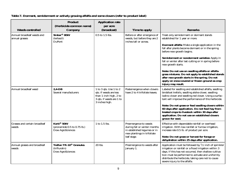## **Table 7. Dormant, semidormant or actively growing alfalfa and some clovers (refer to product label)**

| <b>Weeds controlled</b>                      | <b>Product</b><br>(Herbicide common name)<br>Company                           | <b>Application rate</b><br>per acre<br>(broadcast)                                                                       | Time to apply                                                                                                                       | <b>Remarks</b>                                                                                                                                                                                                                                                                                                                                                                                                                                                                                                                                                                               |
|----------------------------------------------|--------------------------------------------------------------------------------|--------------------------------------------------------------------------------------------------------------------------|-------------------------------------------------------------------------------------------------------------------------------------|----------------------------------------------------------------------------------------------------------------------------------------------------------------------------------------------------------------------------------------------------------------------------------------------------------------------------------------------------------------------------------------------------------------------------------------------------------------------------------------------------------------------------------------------------------------------------------------------|
| Annual broadleaf weeds and<br>annual grasses | Sinbar <sup>®</sup> 80W<br>(terbacil)<br><b>DuPont</b>                         | 0.5 to 1.5 lbs.                                                                                                          | Before or after emergence of<br>weeds, but before they are 2<br>inches tall or across.                                              | Treat only semidormant or dormant stands<br>established for 1 year or more.<br><b>Dormant alfalfa:</b> Make a single application in the<br>fall after plants become dormant or in the spring<br>before new growth begins.<br>Semidormant or nondormant varieties: Apply in<br>fall or winter after last cutting or in spring before<br>new growth starts.<br>Note: Do not use on seedling alfalfa or alfalfa-<br>grass mixtures. Do not apply to established stands<br>after new growth starts in the spring. Do not<br>apply on snow-covered or frozen ground as crop<br>injury may result. |
| Annual broadleaf weed                        | $2,4$ -DB<br>Several manufacturers                                             | 1 to 3 qts. Use 1 to 2<br>qts. if weeds are less<br>than 1 inch high, 2 to<br>3 qts. if weeds are 1 to<br>3 inches high. | Postemergence when clovers<br>have 2 to 4 trifoliate leaves.                                                                        | Labeled for seedling and established alfalfa, seedling<br>birdsfoot trefoils, seedling alsike clover, seedling<br>ladino clover and seedling red clover. Using a surfac-<br>tant will improve the performance of this herbicide.<br>Note: Do not graze or feed seedling clovers within<br>60 days after application. Do not feed hay from<br>treated crops to livestock within 30 days after<br>application. Do not use on established clovers<br>grown for seed.                                                                                                                            |
| Grasses and certain broadleaf<br> weeds      | Kerb <sup>®</sup> 50W<br>(pronamide 0.5 to 0.75 lb.)<br>Dow AgroSciences       | 1 to 1.5 lbs.                                                                                                            | Preemergence to weeds<br>during fall or winter months<br>in established legumes or in<br>new plantings in trifoliate<br>leaf stage. | Effective with dependable rainfall or overhead<br>irrigation. With low rainfall or furrow irrigation,<br>increase rate 0.5 lb. of product per acre.<br>Note: Do not graze or harvest for forage or<br>dehydration within 25 days after application.                                                                                                                                                                                                                                                                                                                                          |
| Annual grasses and broadleaf<br>weeds        | <b>Treflan TR-10<sup>®</sup> Granules</b><br>(trifluralin)<br>Dow AgroSciences | 20 lbs.                                                                                                                  | Preemergence to weeds after<br>January 1.                                                                                           | Application must be followed by $1/2$ inch of sprinkler<br>irrigation or rainfall or a flood irrigation within 3<br>days. If this has not occurred, then shallow cultiva-<br>tion must be performed to activate and uniformly<br>distribute the herbicide, taking care not to cause<br>severe injury to the alfalfa.                                                                                                                                                                                                                                                                         |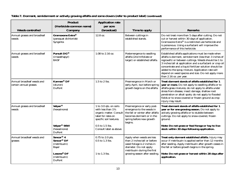| <b>Weeds controlled</b>                              | <b>Product</b><br>(Herbicide common name)<br>Company                                                                                                        | <b>Application rate</b><br>per acre<br>(broadcast)                                                                                                                    | Time to apply                                                                                                                                                                      | <b>Remarks</b>                                                                                                                                                                                                                                                                                                                                                                                                                   |
|------------------------------------------------------|-------------------------------------------------------------------------------------------------------------------------------------------------------------|-----------------------------------------------------------------------------------------------------------------------------------------------------------------------|------------------------------------------------------------------------------------------------------------------------------------------------------------------------------------|----------------------------------------------------------------------------------------------------------------------------------------------------------------------------------------------------------------------------------------------------------------------------------------------------------------------------------------------------------------------------------------------------------------------------------|
| Annual grasses and broadleaf<br>weeds                | Gramoxone Extra <sup>®</sup><br>(paraquat dichloride)<br>Syngenta                                                                                           | 12.8 oz.                                                                                                                                                              | Between cuttings in<br>established stands.                                                                                                                                         | Do not treat more than 5 days after cutting. Do not<br>cut or harvest within 30 days of application.<br>Gramoxone Extra® is a restricted use herbicide and<br>is poisonous. Using a surfactant will improve the<br>performance of this herbicide.                                                                                                                                                                                |
| Annual grasses and broadleaf<br>weeds                | Pursuit DG®<br>(imazathapyr)<br><b>BASF</b>                                                                                                                 | 1.08 to 2.16 oz.                                                                                                                                                      | Postemergence to seedling<br>alfalfa (2nd trifoliate or<br>larger) or established alfalfa.                                                                                         | Established alfalfa applications must be made when<br>alfalfa is dormant, semidormant (less than 3 inches of<br>regrowth) or between cuttings. Weeds should be 1 to<br>3 inches tall at application and a surfactant or crop oil<br>concentrate and a liquid fertilizer solution should be<br>added to the spray mixture. Application rate will<br>depend on weed species and size. Do not apply more<br>than 2.16 oz. per year. |
| Annual broadleaf weeds and<br>certain annual grasses | Karmex <sup>®</sup> DF<br>(diuron)<br><b>DuPont</b>                                                                                                         | 1.5 to 2 lbs.                                                                                                                                                         | Preemergence in March or<br>early April, but before spring<br>growth begins on the alfalfa.                                                                                        | Treat dormant stands of alfalfa established for 1<br>year or more. Do not apply to seedling alfalfa or to<br>alfalfa-grass mixtures; do not apply to alfalfa under<br>stress from disease, insect damage, shallow root<br>penetration or alkali spots; do not apply to flooded<br>fields or to snow-covered or frozen ground as crop<br>injury may result.                                                                       |
| Annual grasses and broadleaf<br>lweeds               | Velpar <sup>®</sup><br>(hexazinone)<br>Velpar <sup>®</sup> 90W<br>(hexazinone)                                                                              | 1 to 3.0 qts. on soils<br>with less than 1%<br>organic matter. Consult<br>label for rates on<br>specific soil textures.<br>0.5 to 1.5 lbs.<br>Consult label as above. | Preemergence or early post-<br>emergence to the weeds in<br>the fall or winter after alfalfa<br>becomes dormant or in the<br>spring before new growth<br>begins.                   | Treat dormant stands of alfalfa established for 1<br>year or for one growing season. Do not apply to<br>actively growing alfalfa or to stubble between<br>cuttings. Do not apply to snow-covered, frozen<br>ground.<br>Note: Do not graze or feed forage or hay to live-<br>stock within 30 days following application.                                                                                                          |
| Annual broadleaf weeds and<br>grasses                | <b>DuPont</b><br>Sencor <sup>®</sup> 4<br>Sencor <sup>®</sup> DF<br>(metribuzin)<br><b>Bayer</b><br>Lexone <sup>®</sup> DF<br>(metribuzin)<br><b>DuPont</b> | 0.75 to 2.0 pts.<br>$0.5$ to 1.3 lbs.<br>1 to 1.3 lbs.                                                                                                                | Apply when weeds are less<br>than 2 inches tall or before<br>weed foliage is 2 inches in<br>diameter. Do not apply<br>metribuzin during the first<br>growing season after seeding. | Treat only dormant established alfalfa. Injury may<br>occur if metribuzin is applied earlier than 12 months<br>after seeding. Apply metribuzin after growth ceases in<br>the fall or before growth begins in the spring.<br>Note: Do not graze or harvest within 28 days after<br>application.                                                                                                                                   |

## **Table 7. Dormant, semidormant or actively growing alfalfa and some clovers (refer to product label) (continued)**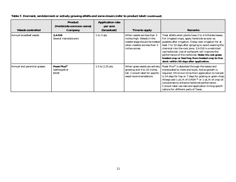| <b>Weeds controlled</b>      | <b>Product</b><br>(Herbicide common name)<br>Company   | <b>Application rate</b><br>per acre<br>(broadcast) | Time to apply                                                                                                                                 | <b>Remarks</b>                                                                                                                                                                                                                                                                                                                                                                                                                                                                                      |
|------------------------------|--------------------------------------------------------|----------------------------------------------------|-----------------------------------------------------------------------------------------------------------------------------------------------|-----------------------------------------------------------------------------------------------------------------------------------------------------------------------------------------------------------------------------------------------------------------------------------------------------------------------------------------------------------------------------------------------------------------------------------------------------------------------------------------------------|
| Annual broadleaf weeds       | $2.4 - DB$<br>Several manufacturers                    | 1 to 3 qts.                                        | When weeds are less than 3<br>inches high. Weeds in the<br>rosette stage should be treated<br>when rosettes are less than 3<br>inches across. | Treat alfalfa when plants have 2 to 4 trifoliate leaves.<br>For irrigated crops, apply herbicide as soon as<br>possible after irrigation. Delay next irrigation for at<br>least 7 to 10 days after spraying to avoid washing the<br>chemical into the root zone. 2,4-DB is a restricted<br>use herbicide. Use of surfactant will improve the<br>performance of this herbicide. Note: Do not graze<br>treated crop or feed hay from treated crop to live-<br>stock within 60 days after application. |
| Annual and perennial grasses | Poast Plus <sup>®</sup><br>(sethoxydim)<br><b>BASF</b> | 1.5 to 2.25 pts.                                   | When grass weeds are actively<br>growing and 4 to 25 inches<br>tall. Consult label for specific<br>weed recommendations.                      | Poast Plus® is absorbed through the leaves and<br>translocated to roots and buds. Active growth is<br>required. Minimum time from application to harvest<br>is 14 days for hay or 7 days for grazing or green chop.<br>Always add 1 pt./A of DASH® or 1 qt./A of crop oil<br>concentrate to enhance herbicide performance.<br>Consult label use rate and application timing specifi-<br>cations for different parts of Texas.                                                                       |

## **Table 7. Dormant, semidormant or actively growing alfalfa and some clovers (refer to product label) (continued)**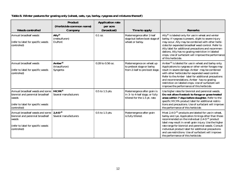## **Table 8. Winter pastures for grazing only (wheat, oats, rye, barley, ryegrass and mixtures thereof)**

| <b>Weeds controlled</b>                                                                                                           | <b>Product</b><br>(Herbicide common name)<br>Company        | <b>Application rate</b><br>per acre<br>(broadcast) | Time to apply                                                                                                  | <b>Remarks</b>                                                                                                                                                                                                                                                                                                                                                                                                                                                          |
|-----------------------------------------------------------------------------------------------------------------------------------|-------------------------------------------------------------|----------------------------------------------------|----------------------------------------------------------------------------------------------------------------|-------------------------------------------------------------------------------------------------------------------------------------------------------------------------------------------------------------------------------------------------------------------------------------------------------------------------------------------------------------------------------------------------------------------------------------------------------------------------|
| Annual broadleaf weeds<br>(refer to label for specific weeds<br>controlled)                                                       | $\text{Ally}^{\circledR}$<br>(metsulfuron)<br><b>DuPont</b> | $0.1$ oz.                                          | Postemergence after 2-leaf<br>stage but before boot stage of<br>wheat or barley.                               | Ally $\mathbb{D}$ is labeled only for use in wheat and winter<br>barley. If ryegrass is present, slight to severe injury<br>may occur. Ally may be combined with other herbi-<br>cides for expanded broadleaf weed control. Refer to<br>Ally label for additional precautions and recommen-<br>dations. Ally has no grazing restriction in labeled<br>crops. Use of surfactant will improve the performance<br>of this herbicide.                                       |
| Annual broadleaf weeds<br>(refer to label for specific weeds<br>controlled)                                                       | Amber <sup>®</sup><br>(triasulfuron)<br>Syngenta            | 0.28 to 0.56 oz.                                   | Postemergence on wheat up<br>to preboot stage or barley<br>from 2-leaf to pre-boot stage.                      | Amber <sup>®</sup> is labeled for use in wheat and barley only.<br>Applications to ryegrass or other winter forages may<br>result in severe damage. Amber may be combined<br>with other herbicides for expanded weed control.<br>Refer to the Amber label for additional precautions<br>and recommendations. Amber has no grazing<br>restriction on labeled crops. Use of surfactant will<br>improve the performance of this herbicide.                                 |
| Annual broadleaf weeds and some<br>biennial and perennial broadleaf<br>weeds<br>(refer to label for specific weeds<br>controlled) | <b>MCPA®</b><br>Several manufacturers                       | 0.5 to 1.5 pts.                                    | Postemergence after grain is<br>in 3- to 4-leaf stage, or fully<br>tillered for the $1.\overline{5}$ pt. rate. | Use higher rates for biennial and perennial weeds.<br>Do not allow livestock to forage or graze treated<br>areas within 7 days before slaughter. Refer to the<br>specific MCPA product label for additional restric-<br>tions and precautions. Use of surfactant will improve<br>the performance of this herbicide.                                                                                                                                                     |
| Annual broadleaf weeds and some<br>biennial and perennial broadleaf<br>weeds<br>(refer to label for specific weeds<br>controlled) | $2,4$ -D®<br>Several manufacturers                          | 0.5 to 1.5 pts.                                    | Postemergence after grain<br>is fully tillered.                                                                | Most 2,4- $D^{\circledR}$ products are labeled for use in wheat,<br>barley and rye. Application timings other than those<br>recommended on the individual $\tilde{2}, 4$ -D <sup>®</sup> product<br>label may result in small grain injury. Use the higher<br>rate range for biennial and perennial weeds. Consult<br>individual product label for additional precautions<br>and use restrictions. Use of surfactant will improve<br>the performance of this herbicide. |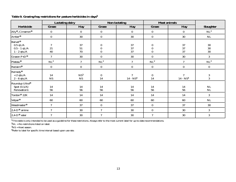|                                                                         |                  | <b>Lactating dairy</b>       |                                   | <b>Non-lactating</b> |                                          | <b>Meat animals</b> |                      |
|-------------------------------------------------------------------------|------------------|------------------------------|-----------------------------------|----------------------|------------------------------------------|---------------------|----------------------|
| Herbicide                                                               | <b>Graze</b>     | <b>Hay</b>                   | <b>Graze</b>                      | <b>Hay</b>           | <b>Graze</b>                             | <b>Hay</b>          | <b>Slaughter</b>     |
| Ally <sup>®</sup> , Cimarron <sup>®</sup>                               | $\boldsymbol{0}$ | $\boldsymbol{0}$             | $\boldsymbol{0}$                  | $\boldsymbol{0}$     | $\boldsymbol{0}$                         | $\pmb{0}$           | NL <sup>2</sup>      |
| Amber <sup>®</sup>                                                      | $\boldsymbol{0}$ | 30                           | $\boldsymbol{0}$                  | 30                   | $\boldsymbol{0}$                         | 30                  | $\rm NL$             |
| Banvel <sup>®</sup><br>$0.5$ qt./A<br>$0.5 - 1$ qt./A<br>$1 - 2$ qts./A | 7<br>21<br>40    | 37<br>51<br>70               | 0<br>$\boldsymbol{0}$<br>$\theta$ | 37<br>37<br>37       | $\theta$<br>$\boldsymbol{0}$<br>$\theta$ | 37<br>37<br>37      | 30<br>30<br>30       |
| Grazon $P+D^{\circledR}$                                                | $\overline{7}$   | $30\,$                       | $\boldsymbol{0}$                  | 30                   | $\bf{0}$                                 | 30                  | 3                    |
| Plateau®                                                                | $\rm NL^2$       | $\overline{7}$               | NL <sup>2</sup>                   | $\overline{7}$       | NL <sup>2</sup>                          | $\boldsymbol{7}$    | NL <sup>2</sup>      |
| Reclaim®                                                                | $\boldsymbol{0}$ | $\pmb{0}$                    | $\pmb{0}$                         | $\bf{0}$             | $\bf{0}$                                 | $\pmb{0}$           | $\boldsymbol{0}$     |
| Remedy®<br>$< 2$ qts./A<br>$2 - 6$ qts./A                               | 14<br><b>NS</b>  | NS <sup>3</sup><br><b>NS</b> | $\boldsymbol{0}$<br>14            | 7<br>$14 - NS4$      | $\boldsymbol{0}$<br>14                   | 7<br>$14 - NS4$     | $\frac{3}{3}$        |
| Roundup Ultra <sup>®</sup><br>Spot $(0.1/A)$<br>Renovation1             | 14<br>56         | 14<br>${\bf 56}$             | 14<br>56                          | 14<br>56             | 14<br>56                                 | 14<br>56            | $\rm NL$<br>$\rm NL$ |
| Tordon <sup>®</sup> 22K                                                 | 14               | 14                           | 14                                | 14                   | 14                                       | 14                  | 3                    |
| Velpar <sup>®</sup>                                                     | 60               | 60                           | 60                                | 60                   | 60                                       | 60                  | $\rm NL$             |
| Weedmaster <sup>®</sup>                                                 | $\tau$           | 37                           | $\pmb{0}$                         | 37                   | $\boldsymbol{0}$                         | 37                  | 30                   |
| $2.4 - D^{\circledR}$ amine                                             | $\overline{7}$   | 30                           | $\overline{7}$                    | 30                   | $\boldsymbol{0}$                         | 30                  | $\mathbf{3}$         |
| $2.4 - D^{\circledR}$ ester                                             | $\overline{7}$   | $30\,$                       | $\overline{7}$                    | 30                   | $\tau$                                   | 30                  | 3                    |

## **Table 9. Grazing/hay restrictions for pasture herbicides in days<sup>1</sup>**

 $^{\text{1}}$ This table is only intended to be used as a guideline for these restrictions. Always refer to the most current label for up-to-date recommendations.

 ${}^{2}$ NL = No restrictions listed on label.

 $3$ NS = Next season.

4Refer to label for specific time interval based upon use rate.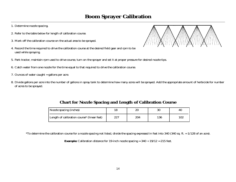# **Boom Sprayer Calibration**

- 1. Determine nozzle spacing.
- 2. Refer to the table below for length of calibration course.
- 3. Mark off the calibration course on the actual area to be sprayed.
- 4. Record the time required to drive the calibration course at the desired field gear and rpm to be used while spraying.
- 5. Park tractor, maintain rpm used to drive course, turn on the sprayer and set it at proper pressure for desired nozzle tips.
- 6. Catch water from one nozzle for the time equal to that required to drive the calibration course.
- 7. Ounces of water caught = gallons per acre.
- 8. Divide gallons per acre into the number of gallons in spray tank to determine how many acres will be sprayed. Add the appropriate amount of herbicide for number of acres to be sprayed.

## **Chart for Nozzle Spacing and Length of Calibration Course**

| <b>Nozzle spacing (inches)</b>                          |     | 20  | 30  | 40  |
|---------------------------------------------------------|-----|-----|-----|-----|
| Length of calibration course <sup>*</sup> (linear feet) | 227 | 204 | 136 | 102 |

\*To determine the calibration course for a nozzle spacing not listed, divide the spacing expressed in feet into 340 (340 sq. ft. =  $1/128$  of an acre).

**Example:** Calibration distance for 19-inch nozzle spacing  $= 340 \div 19/12 = 215$  feet.

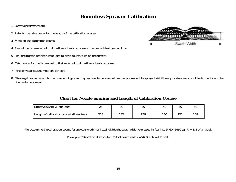## **Boomless Sprayer Calibration**

- 1. Determine swath width.
- 2. Refer to the table below for the length of the calibration course.
- 3. Mark off the calibration course.
- 4. Record the time required to drive the calibration course at the desired field gear and rpm.
- 5. Park the tractor, maintain rpm used to drive course, turn on the sprayer.
- 6. Catch water for the time equal to that required to drive the calibration course.
- 7. Pints of water caught = gallons per acre.



8. Divide gallons per acre into the number of gallons in spray tank to determine how many acres will be sprayed. Add the appropriate amount of herbicide for number of acres to be sprayed.

## **Chart for Nozzle Spacing and Length of Calibration Course**

| <b>Effective Swath Width (feet)</b>         | ل ب | 30  | 35  | 40  |             | эt  |
|---------------------------------------------|-----|-----|-----|-----|-------------|-----|
| Length of calibration course* (linear feet) | 218 | 182 | 156 | 136 | 1 ດະ<br>16J | 109 |

\*To determine the calibration course for a swath width not listed, divide the swath width expressed in feet into 5460 (5460 sq. ft. =  $1/8$  of an acre).

**Example:** Calibration distance for 32-foot swath width =  $5460 \div 32 = 171$  feet.